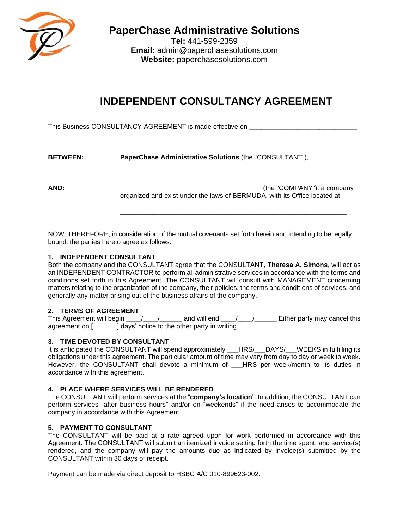

**PaperChase Administrative Solutions**

**Tel:** 441-599-2359 **Email:** admin@paperchasesolutions.com **Website:** paperchasesolutions.com

# **INDEPENDENT CONSULTANCY AGREEMENT**

This Business CONSULTANCY AGREEMENT is made effective on

| <b>BETWEEN:</b> | PaperChase Administrative Solutions (the "CONSULTANT"), |  |
|-----------------|---------------------------------------------------------|--|
|-----------------|---------------------------------------------------------|--|

**AND:**  $(1)$  and  $(2)$  and  $(3)$  and  $(4)$  and  $(5)$  and  $(6)$  and  $(7)$  and  $(8)$  and  $(9)$  and  $(1)$  and  $(2)$  and  $(3)$  and  $(4)$  and  $(5)$  and  $(6)$  and  $(7)$  and  $(8)$  and  $(9)$  and  $(1)$  and  $(1)$  and  $(2)$  and  $(3)$ organized and exist under the laws of BERMUDA, with its Office located at:

\_\_\_\_\_\_\_\_\_\_\_\_\_\_\_\_\_\_\_\_\_\_\_\_\_\_\_\_\_\_\_\_\_\_\_\_\_\_\_\_\_\_\_\_\_\_\_\_\_\_\_\_\_\_\_\_\_\_\_\_\_

NOW, THEREFORE, in consideration of the mutual covenants set forth herein and intending to be legally bound, the parties hereto agree as follows:

## **1. INDEPENDENT CONSULTANT**

Both the company and the CONSULTANT agree that the CONSULTANT, **Theresa A. Simons**, will act as an INDEPENDENT CONTRACTOR to perform all administrative services in accordance with the terms and conditions set forth in this Agreement. The CONSULTANT will consult with MANAGEMENT concerning matters relating to the organization of the company, their policies, the terms and conditions of services, and generally any matter arising out of the business affairs of the company.

# **2. TERMS OF AGREEMENT**

This Agreement will begin \_\_\_\_\_/\_\_\_\_\_\_\_\_\_\_\_\_ and will end \_\_\_\_\_/\_\_\_\_\_\_\_\_\_\_\_ Either party may cancel this agreement on [ ] days' notice to the other party in writing.

# **3. TIME DEVOTED BY CONSULTANT**

It is anticipated the CONSULTANT will spend approximately \_\_\_HRS/\_\_\_DAYS/\_\_\_WEEKS in fulfilling its obligations under this agreement. The particular amount of time may vary from day to day or week to week. However, the CONSULTANT shall devote a minimum of HRS per week/month to its duties in accordance with this agreement.

# **4. PLACE WHERE SERVICES WILL BE RENDERED**

The CONSULTANT will perform services at the "**company's location**". In addition, the CONSULTANT can perform services "after business hours" and/or on "weekends" if the need arises to accommodate the company in accordance with this Agreement.

# **5. PAYMENT TO CONSULTANT**

The CONSULTANT will be paid at a rate agreed upon for work performed in accordance with this Agreement. The CONSULTANT will submit an itemized invoice setting forth the time spent, and service(s) rendered, and the company will pay the amounts due as indicated by invoice(s) submitted by the CONSULTANT within 30 days of receipt.

Payment can be made via direct deposit to HSBC A/C 010-899623-002.